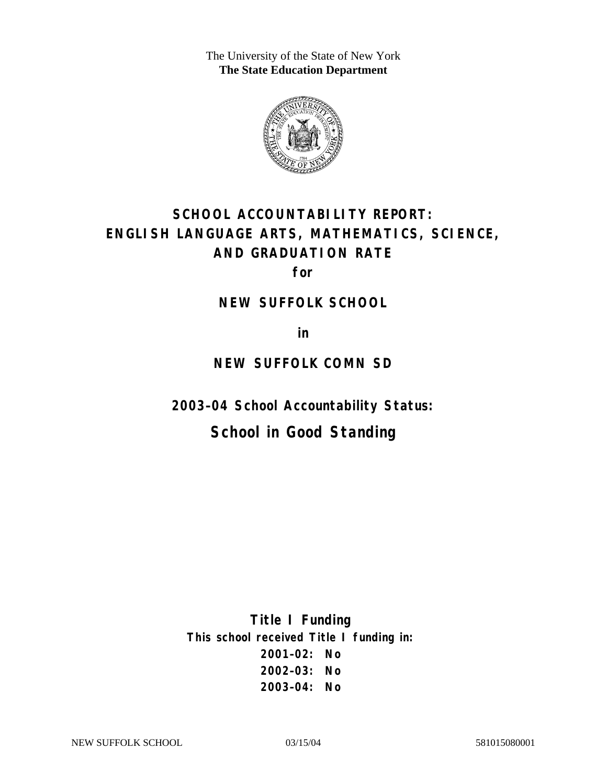The University of the State of New York **The State Education Department** 



# **SCHOOL ACCOUNTABILITY REPORT: ENGLISH LANGUAGE ARTS, MATHEMATICS, SCIENCE, AND GRADUATION RATE**

**for** 

#### **NEW SUFFOLK SCHOOL**

**in** 

### **NEW SUFFOLK COMN SD**

**2003–04 School Accountability Status:** 

## **School in Good Standing**

**Title I Funding This school received Title I funding in: 2001–02: No 2002–03: No 2003–04: No**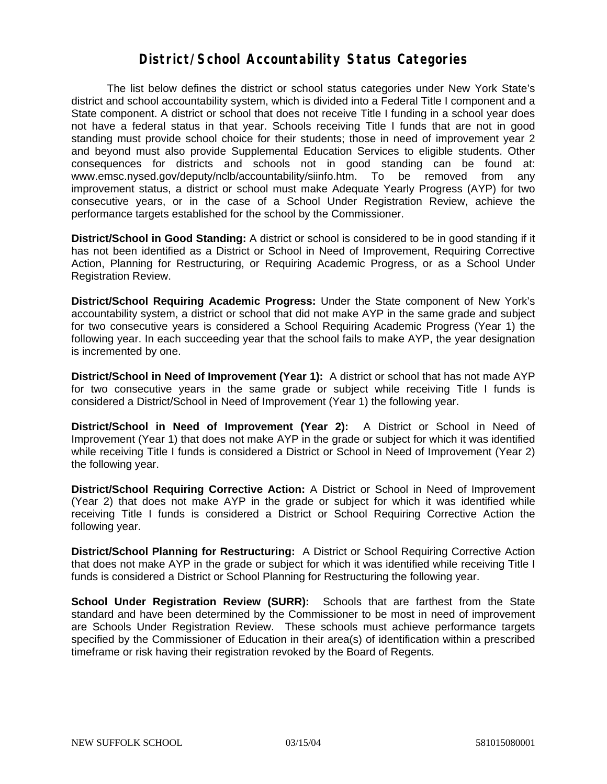#### **District/School Accountability Status Categories**

The list below defines the district or school status categories under New York State's district and school accountability system, which is divided into a Federal Title I component and a State component. A district or school that does not receive Title I funding in a school year does not have a federal status in that year. Schools receiving Title I funds that are not in good standing must provide school choice for their students; those in need of improvement year 2 and beyond must also provide Supplemental Education Services to eligible students. Other consequences for districts and schools not in good standing can be found at: www.emsc.nysed.gov/deputy/nclb/accountability/siinfo.htm. To be removed from any improvement status, a district or school must make Adequate Yearly Progress (AYP) for two consecutive years, or in the case of a School Under Registration Review, achieve the performance targets established for the school by the Commissioner.

**District/School in Good Standing:** A district or school is considered to be in good standing if it has not been identified as a District or School in Need of Improvement, Requiring Corrective Action, Planning for Restructuring, or Requiring Academic Progress, or as a School Under Registration Review.

**District/School Requiring Academic Progress:** Under the State component of New York's accountability system, a district or school that did not make AYP in the same grade and subject for two consecutive years is considered a School Requiring Academic Progress (Year 1) the following year. In each succeeding year that the school fails to make AYP, the year designation is incremented by one.

**District/School in Need of Improvement (Year 1):** A district or school that has not made AYP for two consecutive years in the same grade or subject while receiving Title I funds is considered a District/School in Need of Improvement (Year 1) the following year.

**District/School in Need of Improvement (Year 2):** A District or School in Need of Improvement (Year 1) that does not make AYP in the grade or subject for which it was identified while receiving Title I funds is considered a District or School in Need of Improvement (Year 2) the following year.

**District/School Requiring Corrective Action:** A District or School in Need of Improvement (Year 2) that does not make AYP in the grade or subject for which it was identified while receiving Title I funds is considered a District or School Requiring Corrective Action the following year.

**District/School Planning for Restructuring:** A District or School Requiring Corrective Action that does not make AYP in the grade or subject for which it was identified while receiving Title I funds is considered a District or School Planning for Restructuring the following year.

**School Under Registration Review (SURR):** Schools that are farthest from the State standard and have been determined by the Commissioner to be most in need of improvement are Schools Under Registration Review. These schools must achieve performance targets specified by the Commissioner of Education in their area(s) of identification within a prescribed timeframe or risk having their registration revoked by the Board of Regents.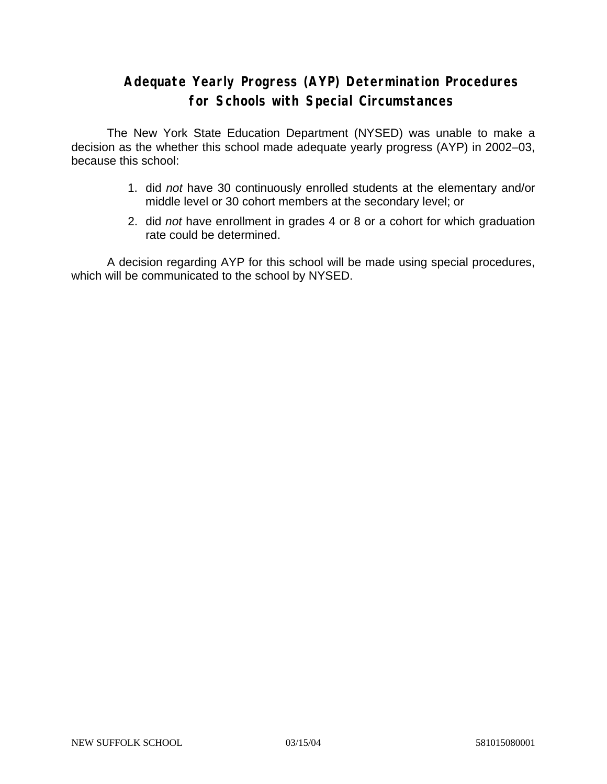### **Adequate Yearly Progress (AYP) Determination Procedures for Schools with Special Circumstances**

The New York State Education Department (NYSED) was unable to make a decision as the whether this school made adequate yearly progress (AYP) in 2002–03, because this school:

- 1. did *not* have 30 continuously enrolled students at the elementary and/or middle level or 30 cohort members at the secondary level; or
- 2. did *not* have enrollment in grades 4 or 8 or a cohort for which graduation rate could be determined.

A decision regarding AYP for this school will be made using special procedures, which will be communicated to the school by NYSED.